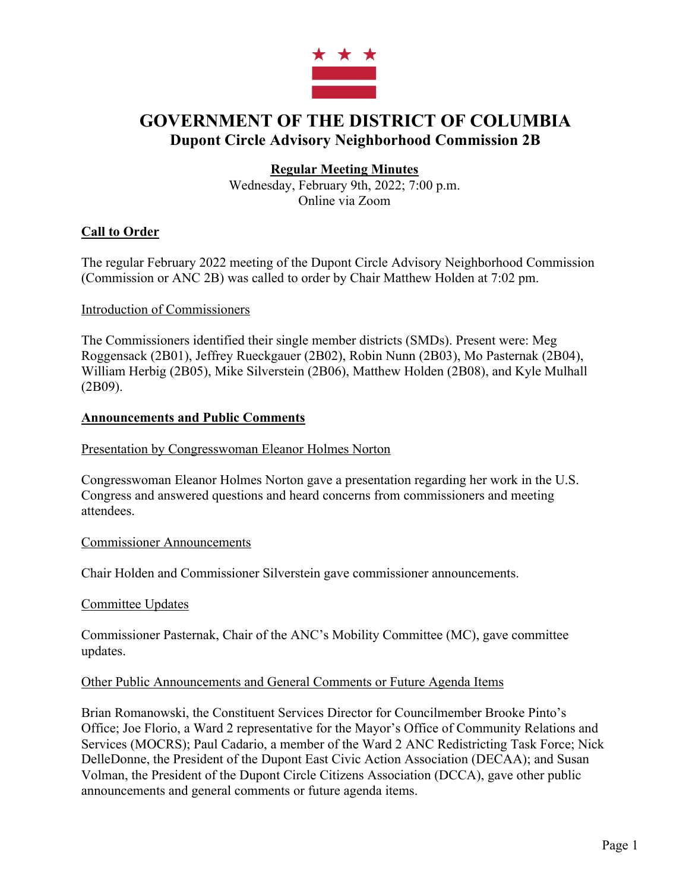

# **GOVERNMENT OF THE DISTRICT OF COLUMBIA Dupont Circle Advisory Neighborhood Commission 2B**

# **Regular Meeting Minutes**

Wednesday, February 9th, 2022; 7:00 p.m. Online via Zoom

## **Call to Order**

The regular February 2022 meeting of the Dupont Circle Advisory Neighborhood Commission (Commission or ANC 2B) was called to order by Chair Matthew Holden at 7:02 pm.

#### Introduction of Commissioners

The Commissioners identified their single member districts (SMDs). Present were: Meg Roggensack (2B01), Jeffrey Rueckgauer (2B02), Robin Nunn (2B03), Mo Pasternak (2B04), William Herbig (2B05), Mike Silverstein (2B06), Matthew Holden (2B08), and Kyle Mulhall (2B09).

#### **Announcements and Public Comments**

Presentation by Congresswoman Eleanor Holmes Norton

Congresswoman Eleanor Holmes Norton gave a presentation regarding her work in the U.S. Congress and answered questions and heard concerns from commissioners and meeting attendees.

#### Commissioner Announcements

Chair Holden and Commissioner Silverstein gave commissioner announcements.

#### Committee Updates

Commissioner Pasternak, Chair of the ANC's Mobility Committee (MC), gave committee updates.

#### Other Public Announcements and General Comments or Future Agenda Items

Brian Romanowski, the Constituent Services Director for Councilmember Brooke Pinto's Office; Joe Florio, a Ward 2 representative for the Mayor's Office of Community Relations and Services (MOCRS); Paul Cadario, a member of the Ward 2 ANC Redistricting Task Force; Nick DelleDonne, the President of the Dupont East Civic Action Association (DECAA); and Susan Volman, the President of the Dupont Circle Citizens Association (DCCA), gave other public announcements and general comments or future agenda items.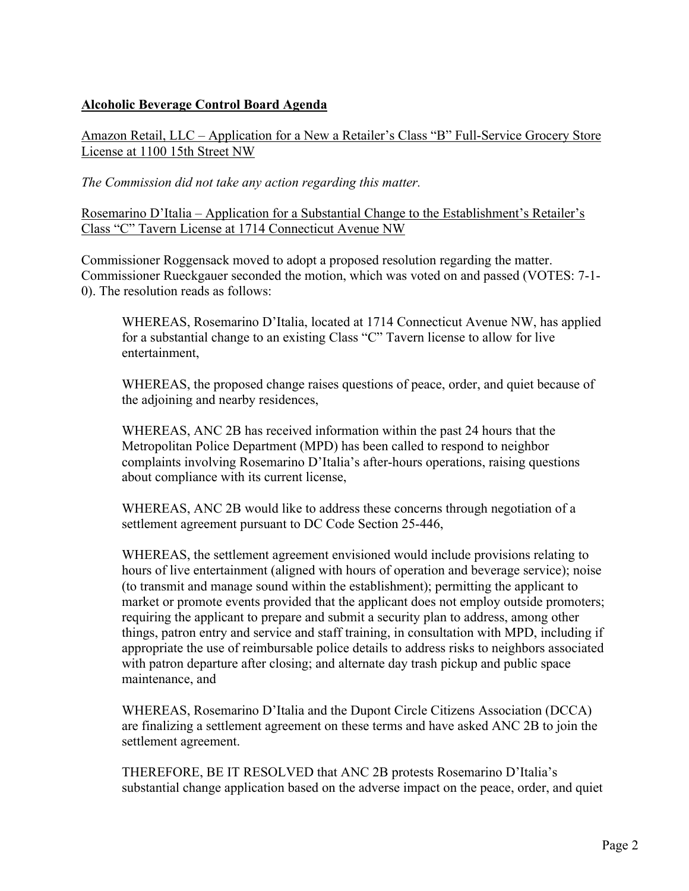# **Alcoholic Beverage Control Board Agenda**

Amazon Retail, LLC – Application for a New a Retailer's Class "B" Full-Service Grocery Store License at 1100 15th Street NW

*The Commission did not take any action regarding this matter.*

Rosemarino D'Italia – Application for a Substantial Change to the Establishment's Retailer's Class "C" Tavern License at 1714 Connecticut Avenue NW

Commissioner Roggensack moved to adopt a proposed resolution regarding the matter. Commissioner Rueckgauer seconded the motion, which was voted on and passed (VOTES: 7-1- 0). The resolution reads as follows:

WHEREAS, Rosemarino D'Italia, located at 1714 Connecticut Avenue NW, has applied for a substantial change to an existing Class "C" Tavern license to allow for live entertainment,

WHEREAS, the proposed change raises questions of peace, order, and quiet because of the adjoining and nearby residences,

WHEREAS, ANC 2B has received information within the past 24 hours that the Metropolitan Police Department (MPD) has been called to respond to neighbor complaints involving Rosemarino D'Italia's after-hours operations, raising questions about compliance with its current license,

WHEREAS, ANC 2B would like to address these concerns through negotiation of a settlement agreement pursuant to DC Code Section 25-446,

WHEREAS, the settlement agreement envisioned would include provisions relating to hours of live entertainment (aligned with hours of operation and beverage service); noise (to transmit and manage sound within the establishment); permitting the applicant to market or promote events provided that the applicant does not employ outside promoters; requiring the applicant to prepare and submit a security plan to address, among other things, patron entry and service and staff training, in consultation with MPD, including if appropriate the use of reimbursable police details to address risks to neighbors associated with patron departure after closing; and alternate day trash pickup and public space maintenance, and

WHEREAS, Rosemarino D'Italia and the Dupont Circle Citizens Association (DCCA) are finalizing a settlement agreement on these terms and have asked ANC 2B to join the settlement agreement.

THEREFORE, BE IT RESOLVED that ANC 2B protests Rosemarino D'Italia's substantial change application based on the adverse impact on the peace, order, and quiet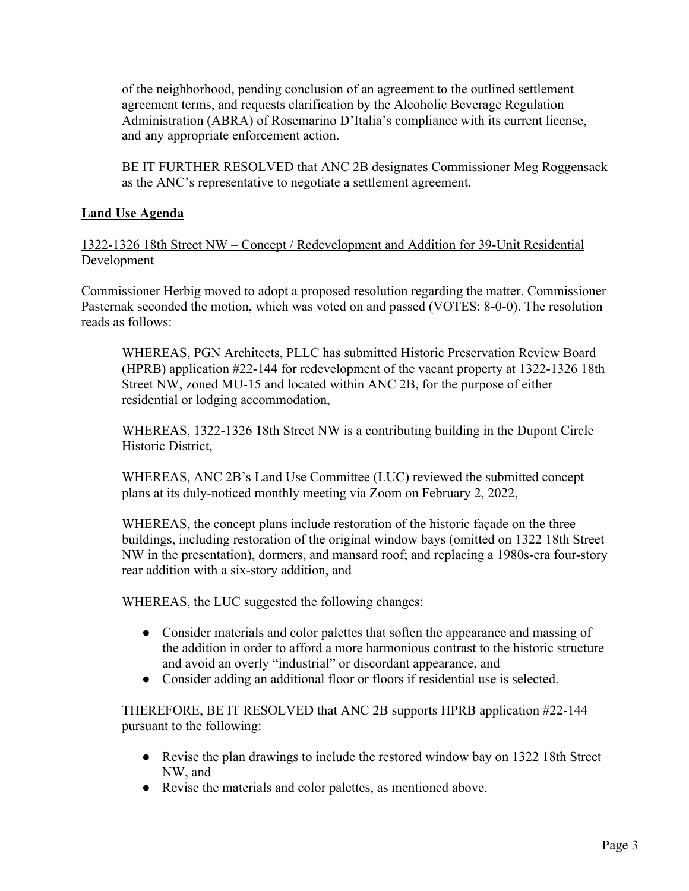of the neighborhood, pending conclusion of an agreement to the outlined settlement agreement terms, and requests clarification by the Alcoholic Beverage Regulation Administration (ABRA) of Rosemarino D'Italia's compliance with its current license, and any appropriate enforcement action.

BE IT FURTHER RESOLVED that ANC 2B designates Commissioner Meg Roggensack as the ANC's representative to negotiate a settlement agreement.

## **Land Use Agenda**

#### 1322-1326 18th Street NW – Concept / Redevelopment and Addition for 39-Unit Residential Development

Commissioner Herbig moved to adopt a proposed resolution regarding the matter. Commissioner Pasternak seconded the motion, which was voted on and passed (VOTES: 8-0-0). The resolution reads as follows:

WHEREAS, PGN Architects, PLLC has submitted Historic Preservation Review Board (HPRB) application #22-144 for redevelopment of the vacant property at 1322-1326 18th Street NW, zoned MU-15 and located within ANC 2B, for the purpose of either residential or lodging accommodation,

WHEREAS, 1322-1326 18th Street NW is a contributing building in the Dupont Circle Historic District,

WHEREAS, ANC 2B's Land Use Committee (LUC) reviewed the submitted concept plans at its duly-noticed monthly meeting via Zoom on February 2, 2022,

WHEREAS, the concept plans include restoration of the historic façade on the three buildings, including restoration of the original window bays (omitted on 1322 18th Street NW in the presentation), dormers, and mansard roof; and replacing a 1980s-era four-story rear addition with a six-story addition, and

WHEREAS, the LUC suggested the following changes:

- Consider materials and color palettes that soften the appearance and massing of the addition in order to afford a more harmonious contrast to the historic structure and avoid an overly "industrial" or discordant appearance, and
- Consider adding an additional floor or floors if residential use is selected.

THEREFORE, BE IT RESOLVED that ANC 2B supports HPRB application #22-144 pursuant to the following:

- Revise the plan drawings to include the restored window bay on 1322 18th Street NW, and
- Revise the materials and color palettes, as mentioned above.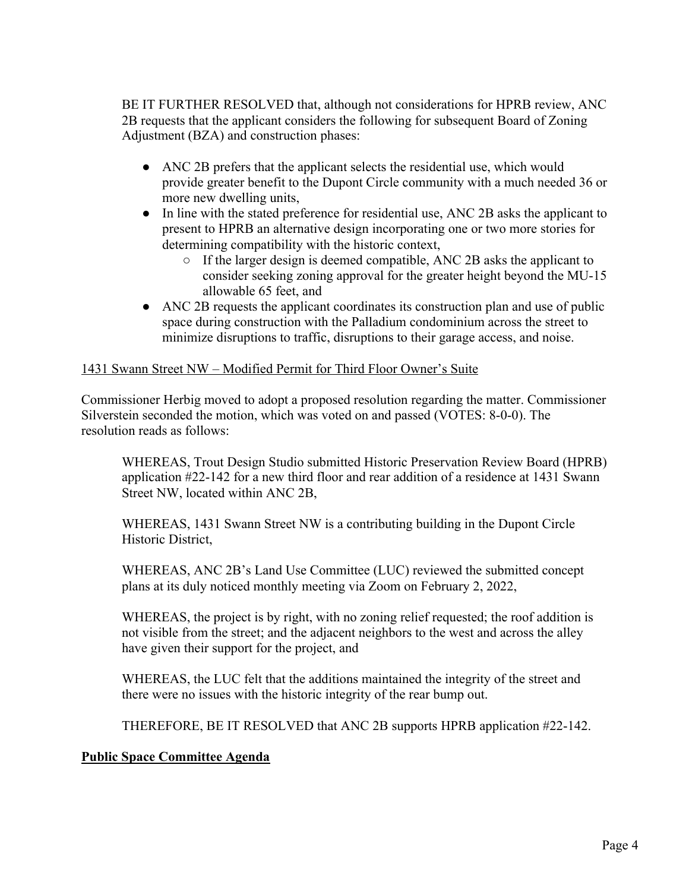BE IT FURTHER RESOLVED that, although not considerations for HPRB review, ANC 2B requests that the applicant considers the following for subsequent Board of Zoning Adjustment (BZA) and construction phases:

- ANC 2B prefers that the applicant selects the residential use, which would provide greater benefit to the Dupont Circle community with a much needed 36 or more new dwelling units,
- In line with the stated preference for residential use, ANC 2B asks the applicant to present to HPRB an alternative design incorporating one or two more stories for determining compatibility with the historic context,
	- If the larger design is deemed compatible, ANC 2B asks the applicant to consider seeking zoning approval for the greater height beyond the MU-15 allowable 65 feet, and
- ANC 2B requests the applicant coordinates its construction plan and use of public space during construction with the Palladium condominium across the street to minimize disruptions to traffic, disruptions to their garage access, and noise.

## 1431 Swann Street NW – Modified Permit for Third Floor Owner's Suite

Commissioner Herbig moved to adopt a proposed resolution regarding the matter. Commissioner Silverstein seconded the motion, which was voted on and passed (VOTES: 8-0-0). The resolution reads as follows:

WHEREAS, Trout Design Studio submitted Historic Preservation Review Board (HPRB) application #22-142 for a new third floor and rear addition of a residence at 1431 Swann Street NW, located within ANC 2B,

WHEREAS, 1431 Swann Street NW is a contributing building in the Dupont Circle Historic District,

WHEREAS, ANC 2B's Land Use Committee (LUC) reviewed the submitted concept plans at its duly noticed monthly meeting via Zoom on February 2, 2022,

WHEREAS, the project is by right, with no zoning relief requested; the roof addition is not visible from the street; and the adjacent neighbors to the west and across the alley have given their support for the project, and

WHEREAS, the LUC felt that the additions maintained the integrity of the street and there were no issues with the historic integrity of the rear bump out.

THEREFORE, BE IT RESOLVED that ANC 2B supports HPRB application #22-142.

## **Public Space Committee Agenda**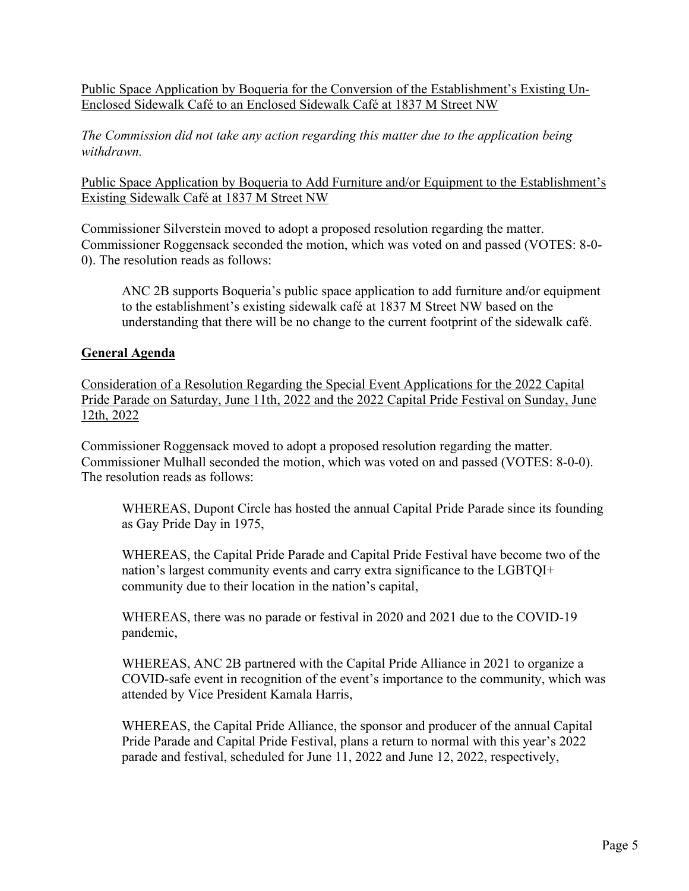Public Space Application by Boqueria for the Conversion of the Establishment's Existing Un-Enclosed Sidewalk Café to an Enclosed Sidewalk Café at 1837 M Street NW

*The Commission did not take any action regarding this matter due to the application being withdrawn.*

Public Space Application by Boqueria to Add Furniture and/or Equipment to the Establishment's Existing Sidewalk Café at 1837 M Street NW

Commissioner Silverstein moved to adopt a proposed resolution regarding the matter. Commissioner Roggensack seconded the motion, which was voted on and passed (VOTES: 8-0- 0). The resolution reads as follows:

ANC 2B supports Boqueria's public space application to add furniture and/or equipment to the establishment's existing sidewalk café at 1837 M Street NW based on the understanding that there will be no change to the current footprint of the sidewalk café.

## **General Agenda**

Consideration of a Resolution Regarding the Special Event Applications for the 2022 Capital Pride Parade on Saturday, June 11th, 2022 and the 2022 Capital Pride Festival on Sunday, June 12th, 2022

Commissioner Roggensack moved to adopt a proposed resolution regarding the matter. Commissioner Mulhall seconded the motion, which was voted on and passed (VOTES: 8-0-0). The resolution reads as follows:

WHEREAS, Dupont Circle has hosted the annual Capital Pride Parade since its founding as Gay Pride Day in 1975,

WHEREAS, the Capital Pride Parade and Capital Pride Festival have become two of the nation's largest community events and carry extra significance to the LGBTQI+ community due to their location in the nation's capital,

WHEREAS, there was no parade or festival in 2020 and 2021 due to the COVID-19 pandemic,

WHEREAS, ANC 2B partnered with the Capital Pride Alliance in 2021 to organize a COVID-safe event in recognition of the event's importance to the community, which was attended by Vice President Kamala Harris,

WHEREAS, the Capital Pride Alliance, the sponsor and producer of the annual Capital Pride Parade and Capital Pride Festival, plans a return to normal with this year's 2022 parade and festival, scheduled for June 11, 2022 and June 12, 2022, respectively,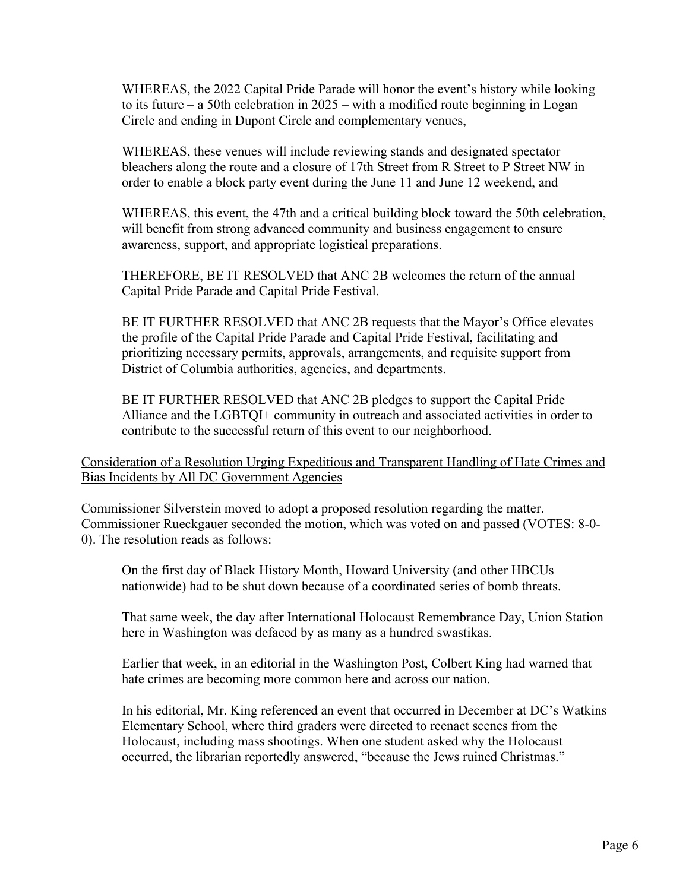WHEREAS, the 2022 Capital Pride Parade will honor the event's history while looking to its future – a 50th celebration in 2025 – with a modified route beginning in Logan Circle and ending in Dupont Circle and complementary venues,

WHEREAS, these venues will include reviewing stands and designated spectator bleachers along the route and a closure of 17th Street from R Street to P Street NW in order to enable a block party event during the June 11 and June 12 weekend, and

WHEREAS, this event, the 47th and a critical building block toward the 50th celebration, will benefit from strong advanced community and business engagement to ensure awareness, support, and appropriate logistical preparations.

THEREFORE, BE IT RESOLVED that ANC 2B welcomes the return of the annual Capital Pride Parade and Capital Pride Festival.

BE IT FURTHER RESOLVED that ANC 2B requests that the Mayor's Office elevates the profile of the Capital Pride Parade and Capital Pride Festival, facilitating and prioritizing necessary permits, approvals, arrangements, and requisite support from District of Columbia authorities, agencies, and departments.

BE IT FURTHER RESOLVED that ANC 2B pledges to support the Capital Pride Alliance and the LGBTQI+ community in outreach and associated activities in order to contribute to the successful return of this event to our neighborhood.

Consideration of a Resolution Urging Expeditious and Transparent Handling of Hate Crimes and Bias Incidents by All DC Government Agencies

Commissioner Silverstein moved to adopt a proposed resolution regarding the matter. Commissioner Rueckgauer seconded the motion, which was voted on and passed (VOTES: 8-0- 0). The resolution reads as follows:

On the first day of Black History Month, Howard University (and other HBCUs nationwide) had to be shut down because of a coordinated series of bomb threats.

That same week, the day after International Holocaust Remembrance Day, Union Station here in Washington was defaced by as many as a hundred swastikas.

Earlier that week, in an editorial in the Washington Post, Colbert King had warned that hate crimes are becoming more common here and across our nation.

In his editorial, Mr. King referenced an event that occurred in December at DC's Watkins Elementary School, where third graders were directed to reenact scenes from the Holocaust, including mass shootings. When one student asked why the Holocaust occurred, the librarian reportedly answered, "because the Jews ruined Christmas."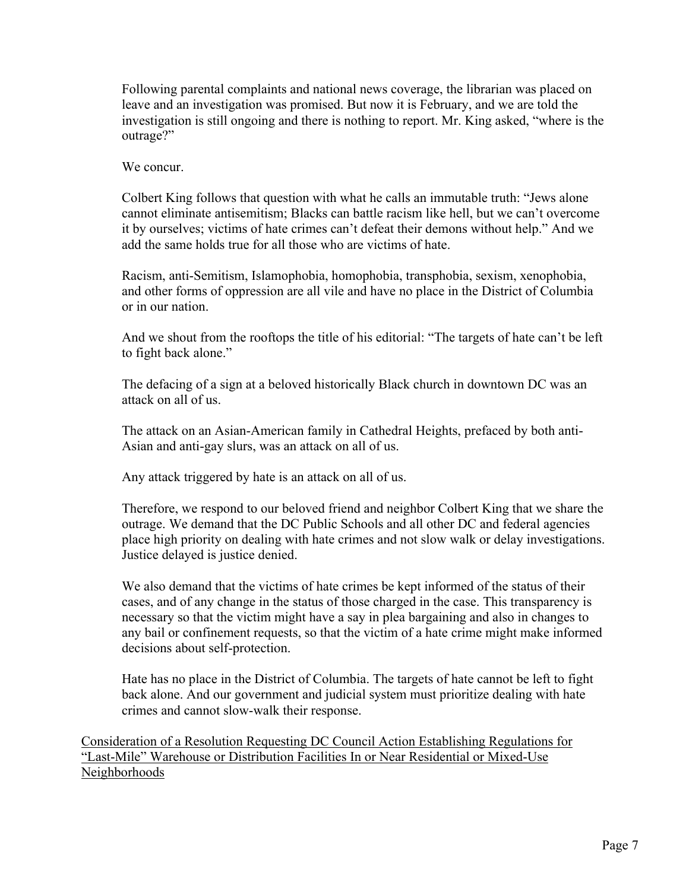Following parental complaints and national news coverage, the librarian was placed on leave and an investigation was promised. But now it is February, and we are told the investigation is still ongoing and there is nothing to report. Mr. King asked, "where is the outrage?"

We concur.

Colbert King follows that question with what he calls an immutable truth: "Jews alone cannot eliminate antisemitism; Blacks can battle racism like hell, but we can't overcome it by ourselves; victims of hate crimes can't defeat their demons without help." And we add the same holds true for all those who are victims of hate.

Racism, anti-Semitism, Islamophobia, homophobia, transphobia, sexism, xenophobia, and other forms of oppression are all vile and have no place in the District of Columbia or in our nation.

And we shout from the rooftops the title of his editorial: "The targets of hate can't be left to fight back alone."

The defacing of a sign at a beloved historically Black church in downtown DC was an attack on all of us.

The attack on an Asian-American family in Cathedral Heights, prefaced by both anti-Asian and anti-gay slurs, was an attack on all of us.

Any attack triggered by hate is an attack on all of us.

Therefore, we respond to our beloved friend and neighbor Colbert King that we share the outrage. We demand that the DC Public Schools and all other DC and federal agencies place high priority on dealing with hate crimes and not slow walk or delay investigations. Justice delayed is justice denied.

We also demand that the victims of hate crimes be kept informed of the status of their cases, and of any change in the status of those charged in the case. This transparency is necessary so that the victim might have a say in plea bargaining and also in changes to any bail or confinement requests, so that the victim of a hate crime might make informed decisions about self-protection.

Hate has no place in the District of Columbia. The targets of hate cannot be left to fight back alone. And our government and judicial system must prioritize dealing with hate crimes and cannot slow-walk their response.

Consideration of a Resolution Requesting DC Council Action Establishing Regulations for "Last-Mile" Warehouse or Distribution Facilities In or Near Residential or Mixed-Use Neighborhoods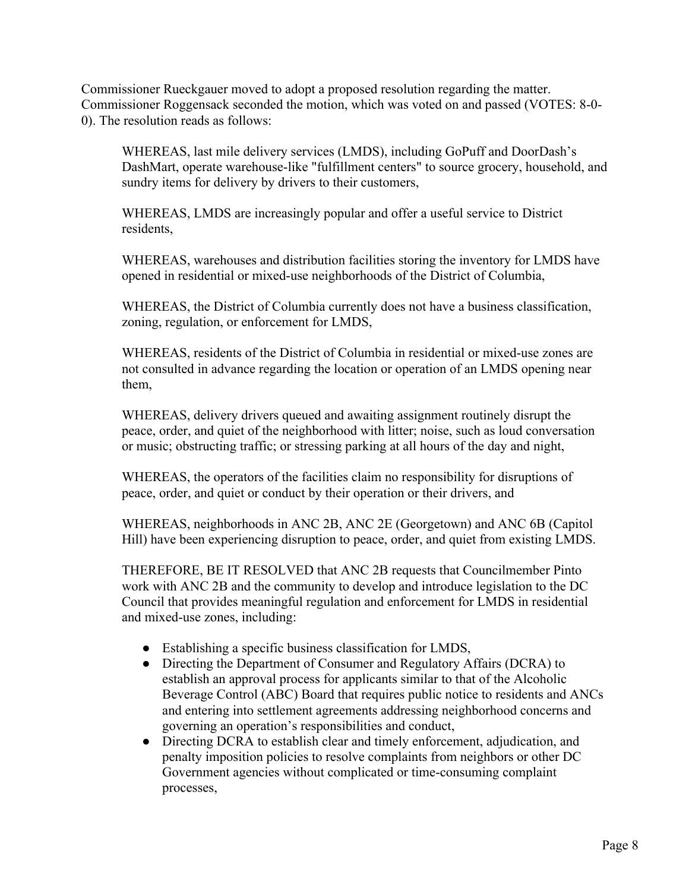Commissioner Rueckgauer moved to adopt a proposed resolution regarding the matter. Commissioner Roggensack seconded the motion, which was voted on and passed (VOTES: 8-0- 0). The resolution reads as follows:

WHEREAS, last mile delivery services (LMDS), including GoPuff and DoorDash's DashMart, operate warehouse-like "fulfillment centers" to source grocery, household, and sundry items for delivery by drivers to their customers,

WHEREAS, LMDS are increasingly popular and offer a useful service to District residents,

WHEREAS, warehouses and distribution facilities storing the inventory for LMDS have opened in residential or mixed-use neighborhoods of the District of Columbia,

WHEREAS, the District of Columbia currently does not have a business classification, zoning, regulation, or enforcement for LMDS,

WHEREAS, residents of the District of Columbia in residential or mixed-use zones are not consulted in advance regarding the location or operation of an LMDS opening near them,

WHEREAS, delivery drivers queued and awaiting assignment routinely disrupt the peace, order, and quiet of the neighborhood with litter; noise, such as loud conversation or music; obstructing traffic; or stressing parking at all hours of the day and night,

WHEREAS, the operators of the facilities claim no responsibility for disruptions of peace, order, and quiet or conduct by their operation or their drivers, and

WHEREAS, neighborhoods in ANC 2B, ANC 2E (Georgetown) and ANC 6B (Capitol Hill) have been experiencing disruption to peace, order, and quiet from existing LMDS.

THEREFORE, BE IT RESOLVED that ANC 2B requests that Councilmember Pinto work with ANC 2B and the community to develop and introduce legislation to the DC Council that provides meaningful regulation and enforcement for LMDS in residential and mixed-use zones, including:

- Establishing a specific business classification for LMDS,
- Directing the Department of Consumer and Regulatory Affairs (DCRA) to establish an approval process for applicants similar to that of the Alcoholic Beverage Control (ABC) Board that requires public notice to residents and ANCs and entering into settlement agreements addressing neighborhood concerns and governing an operation's responsibilities and conduct,
- Directing DCRA to establish clear and timely enforcement, adjudication, and penalty imposition policies to resolve complaints from neighbors or other DC Government agencies without complicated or time-consuming complaint processes,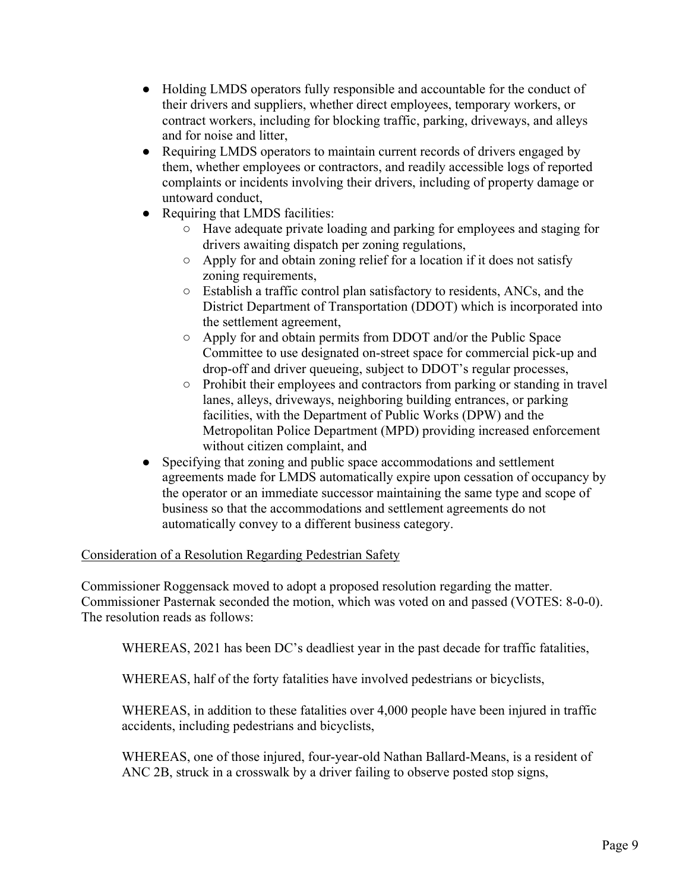- Holding LMDS operators fully responsible and accountable for the conduct of their drivers and suppliers, whether direct employees, temporary workers, or contract workers, including for blocking traffic, parking, driveways, and alleys and for noise and litter,
- Requiring LMDS operators to maintain current records of drivers engaged by them, whether employees or contractors, and readily accessible logs of reported complaints or incidents involving their drivers, including of property damage or untoward conduct,
- Requiring that LMDS facilities:
	- Have adequate private loading and parking for employees and staging for drivers awaiting dispatch per zoning regulations,
	- Apply for and obtain zoning relief for a location if it does not satisfy zoning requirements,
	- Establish a traffic control plan satisfactory to residents, ANCs, and the District Department of Transportation (DDOT) which is incorporated into the settlement agreement,
	- Apply for and obtain permits from DDOT and/or the Public Space Committee to use designated on-street space for commercial pick-up and drop-off and driver queueing, subject to DDOT's regular processes,
	- Prohibit their employees and contractors from parking or standing in travel lanes, alleys, driveways, neighboring building entrances, or parking facilities, with the Department of Public Works (DPW) and the Metropolitan Police Department (MPD) providing increased enforcement without citizen complaint, and
- Specifying that zoning and public space accommodations and settlement agreements made for LMDS automatically expire upon cessation of occupancy by the operator or an immediate successor maintaining the same type and scope of business so that the accommodations and settlement agreements do not automatically convey to a different business category.

## Consideration of a Resolution Regarding Pedestrian Safety

Commissioner Roggensack moved to adopt a proposed resolution regarding the matter. Commissioner Pasternak seconded the motion, which was voted on and passed (VOTES: 8-0-0). The resolution reads as follows:

WHEREAS, 2021 has been DC's deadliest year in the past decade for traffic fatalities,

WHEREAS, half of the forty fatalities have involved pedestrians or bicyclists,

WHEREAS, in addition to these fatalities over 4,000 people have been injured in traffic accidents, including pedestrians and bicyclists,

WHEREAS, one of those injured, four-year-old Nathan Ballard-Means, is a resident of ANC 2B, struck in a crosswalk by a driver failing to observe posted stop signs,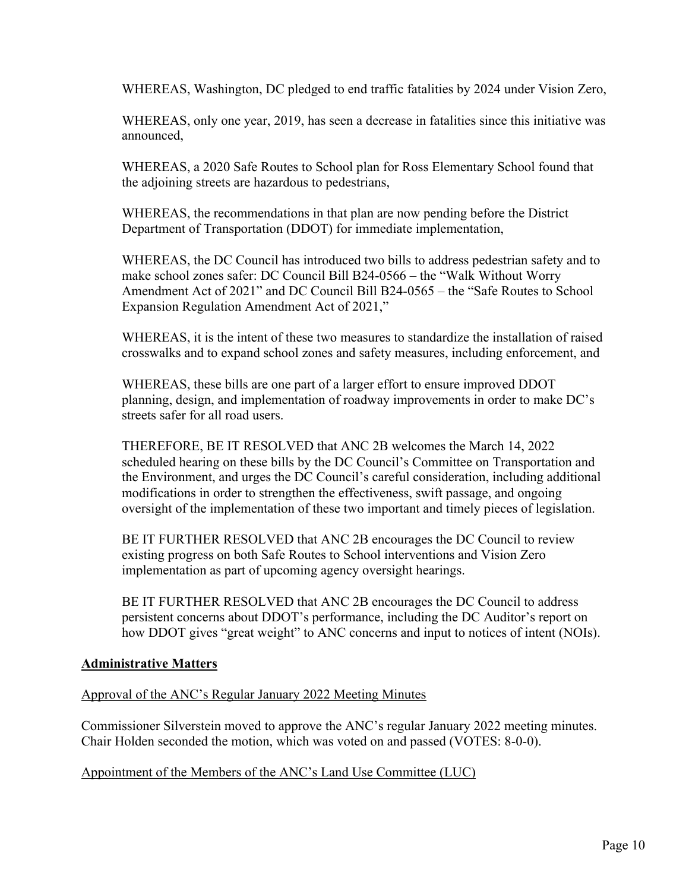WHEREAS, Washington, DC pledged to end traffic fatalities by 2024 under Vision Zero,

WHEREAS, only one year, 2019, has seen a decrease in fatalities since this initiative was announced,

WHEREAS, a 2020 Safe Routes to School plan for Ross Elementary School found that the adjoining streets are hazardous to pedestrians,

WHEREAS, the recommendations in that plan are now pending before the District Department of Transportation (DDOT) for immediate implementation,

WHEREAS, the DC Council has introduced two bills to address pedestrian safety and to make school zones safer: DC Council Bill B24-0566 – the "Walk Without Worry Amendment Act of 2021" and DC Council Bill B24-0565 – the "Safe Routes to School Expansion Regulation Amendment Act of 2021,"

WHEREAS, it is the intent of these two measures to standardize the installation of raised crosswalks and to expand school zones and safety measures, including enforcement, and

WHEREAS, these bills are one part of a larger effort to ensure improved DDOT planning, design, and implementation of roadway improvements in order to make DC's streets safer for all road users.

THEREFORE, BE IT RESOLVED that ANC 2B welcomes the March 14, 2022 scheduled hearing on these bills by the DC Council's Committee on Transportation and the Environment, and urges the DC Council's careful consideration, including additional modifications in order to strengthen the effectiveness, swift passage, and ongoing oversight of the implementation of these two important and timely pieces of legislation.

BE IT FURTHER RESOLVED that ANC 2B encourages the DC Council to review existing progress on both Safe Routes to School interventions and Vision Zero implementation as part of upcoming agency oversight hearings.

BE IT FURTHER RESOLVED that ANC 2B encourages the DC Council to address persistent concerns about DDOT's performance, including the DC Auditor's report on how DDOT gives "great weight" to ANC concerns and input to notices of intent (NOIs).

#### **Administrative Matters**

Approval of the ANC's Regular January 2022 Meeting Minutes

Commissioner Silverstein moved to approve the ANC's regular January 2022 meeting minutes. Chair Holden seconded the motion, which was voted on and passed (VOTES: 8-0-0).

Appointment of the Members of the ANC's Land Use Committee (LUC)